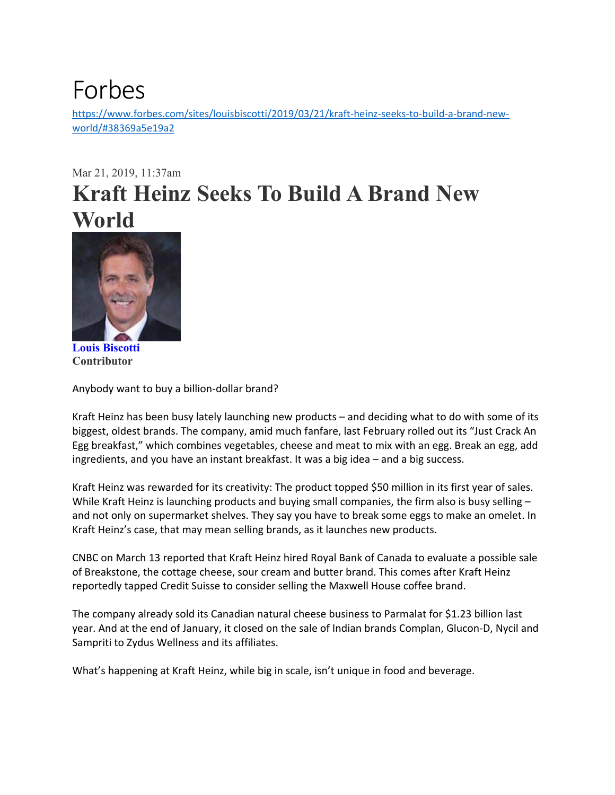## Forbes

https://www.forbes.com/sites/louisbiscotti/2019/03/21/kraft-heinz-seeks-to-build-a-brand-newworld/#38369a5e19a2

## Mar 21, 2019, 11:37am **Kraft Heinz Seeks To Build A Brand New World**



**Louis Biscotti Contributor** 

Anybody want to buy a billion‐dollar brand?

Kraft Heinz has been busy lately launching new products – and deciding what to do with some of its biggest, oldest brands. The company, amid much fanfare, last February rolled out its "Just Crack An Egg breakfast," which combines vegetables, cheese and meat to mix with an egg. Break an egg, add ingredients, and you have an instant breakfast. It was a big idea – and a big success.

Kraft Heinz was rewarded for its creativity: The product topped \$50 million in its first year of sales. While Kraft Heinz is launching products and buying small companies, the firm also is busy selling and not only on supermarket shelves. They say you have to break some eggs to make an omelet. In Kraft Heinz's case, that may mean selling brands, as it launches new products.

CNBC on March 13 reported that Kraft Heinz hired Royal Bank of Canada to evaluate a possible sale of Breakstone, the cottage cheese, sour cream and butter brand. This comes after Kraft Heinz reportedly tapped Credit Suisse to consider selling the Maxwell House coffee brand.

The company already sold its Canadian natural cheese business to Parmalat for \$1.23 billion last year. And at the end of January, it closed on the sale of Indian brands Complan, Glucon‐D, Nycil and Sampriti to Zydus Wellness and its affiliates.

What's happening at Kraft Heinz, while big in scale, isn't unique in food and beverage.